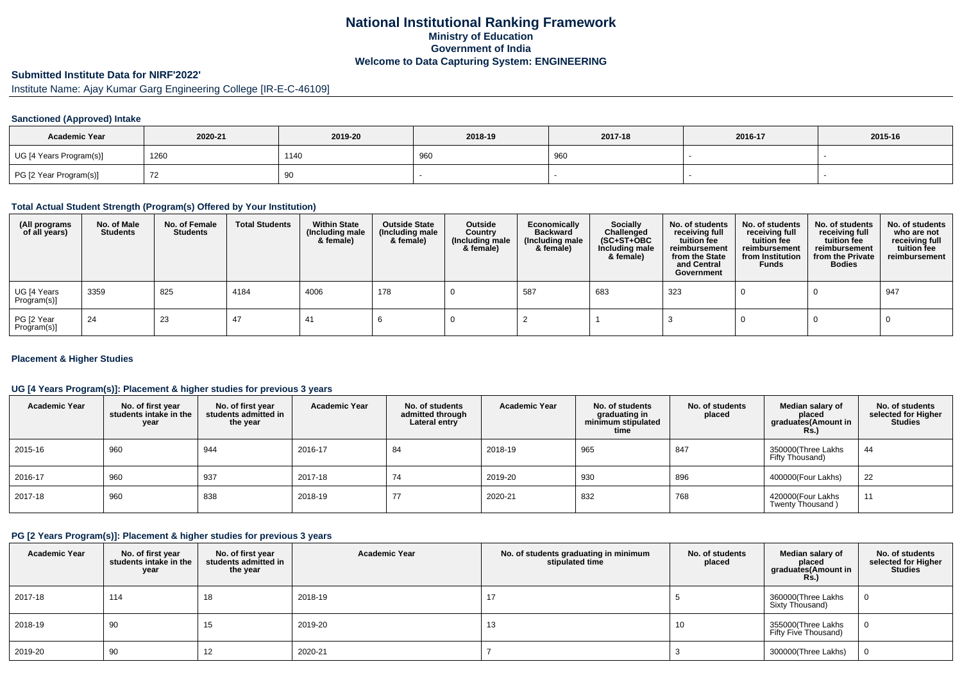## **National Institutional Ranking FrameworkMinistry of Education Government of IndiaWelcome to Data Capturing System: ENGINEERING**

# **Submitted Institute Data for NIRF'2022'**

Institute Name: Ajay Kumar Garg Engineering College [IR-E-C-46109]

## **Sanctioned (Approved) Intake**

| <b>Academic Year</b>    | 2020-21 | 2019-20 | 2018-19 | 2017-18 | 2016-17 | 2015-16 |
|-------------------------|---------|---------|---------|---------|---------|---------|
| UG [4 Years Program(s)] | 1260    | 1140    | 96      | 960     |         |         |
| PG [2 Year Program(s)]  |         | 90      |         |         |         |         |

#### **Total Actual Student Strength (Program(s) Offered by Your Institution)**

| (All programs<br>of all years) | No. of Male<br><b>Students</b> | No. of Female<br>Students | <b>Total Students</b> | <b>Within State</b><br>(Including male<br>& female) | <b>Outside State</b><br>(Including male<br>& female) | Outside<br>Country<br>(Including male<br>& female) | Economically<br><b>Backward</b><br>(Including male<br>& female) | <b>Socially</b><br>Challenged<br>$(SC+ST+OBC)$<br>Including male<br>& female) | No. of students<br>receiving full<br>tuition fee<br>reimbursement<br>from the State<br>and Central<br>Government | No. of students<br>receiving full<br>tuition fee<br>reimbursement<br>from Institution<br><b>Funds</b> | No. of students<br>receiving full<br>tuition fee<br>reimbursement<br>from the Private<br><b>Bodies</b> | No. of students<br>who are not<br>receiving full<br>tuition fee<br>reimbursement |
|--------------------------------|--------------------------------|---------------------------|-----------------------|-----------------------------------------------------|------------------------------------------------------|----------------------------------------------------|-----------------------------------------------------------------|-------------------------------------------------------------------------------|------------------------------------------------------------------------------------------------------------------|-------------------------------------------------------------------------------------------------------|--------------------------------------------------------------------------------------------------------|----------------------------------------------------------------------------------|
| UG [4 Years<br>Program(s)]     | 3359                           | 825                       | 4184                  | 4006                                                | 178                                                  |                                                    | 587                                                             | 683                                                                           | 323                                                                                                              |                                                                                                       |                                                                                                        | 947                                                                              |
| PG [2 Year<br>Program(s)]      | 24                             | 23                        | 47                    | 41                                                  |                                                      |                                                    |                                                                 |                                                                               |                                                                                                                  |                                                                                                       |                                                                                                        |                                                                                  |

### **Placement & Higher Studies**

## **UG [4 Years Program(s)]: Placement & higher studies for previous 3 years**

| <b>Academic Year</b> | No. of first year<br>students intake in the<br>year | No. of first vear<br>students admitted in<br>the year | <b>Academic Year</b> | No. of students<br>admitted through<br>Lateral entry | <b>Academic Year</b> | No. of students<br>graduating in<br>minimum stipulated<br>time | No. of students<br>placed | Median salary of<br>placed<br>graduates(Amount in<br><b>Rs.)</b> | No. of students<br>selected for Higher<br><b>Studies</b> |
|----------------------|-----------------------------------------------------|-------------------------------------------------------|----------------------|------------------------------------------------------|----------------------|----------------------------------------------------------------|---------------------------|------------------------------------------------------------------|----------------------------------------------------------|
| 2015-16              | 960                                                 | 944                                                   | 2016-17              | 84                                                   | 2018-19              | 965                                                            | 847                       | 350000 Three Lakhs<br>Fifty Thousand)                            | 44                                                       |
| 2016-17              | 960                                                 | 937                                                   | 2017-18              | 74                                                   | 2019-20              | 930                                                            | 896                       | 400000(Four Lakhs)                                               | 22                                                       |
| 2017-18              | 960                                                 | 838                                                   | 2018-19              | 77                                                   | 2020-21              | 832                                                            | 768                       | 420000(Four Lakhs<br>Twenty Thousand)                            | 11                                                       |

## **PG [2 Years Program(s)]: Placement & higher studies for previous 3 years**

| <b>Academic Year</b> | No. of first year<br>students intake in the<br>year | No. of first vear<br>students admitted in<br>the year | <b>Academic Year</b> | No. of students graduating in minimum<br>stipulated time | No. of students<br>placed | Median salary of<br>placed<br>graduates(Amount in<br>Rs.) | No. of students<br>selected for Higher<br><b>Studies</b> |
|----------------------|-----------------------------------------------------|-------------------------------------------------------|----------------------|----------------------------------------------------------|---------------------------|-----------------------------------------------------------|----------------------------------------------------------|
| 2017-18              | 114                                                 |                                                       | 2018-19              | 17                                                       |                           | 360000(Three Lakhs<br>Sixty Thousand)                     |                                                          |
| 2018-19              | 90                                                  |                                                       | 2019-20              | 13                                                       | 10                        | 355000(Three Lakhs<br>Fifty Five Thousand)                |                                                          |
| 2019-20              | 90                                                  | ے ا                                                   | 2020-21              |                                                          |                           | 300000(Three Lakhs)                                       |                                                          |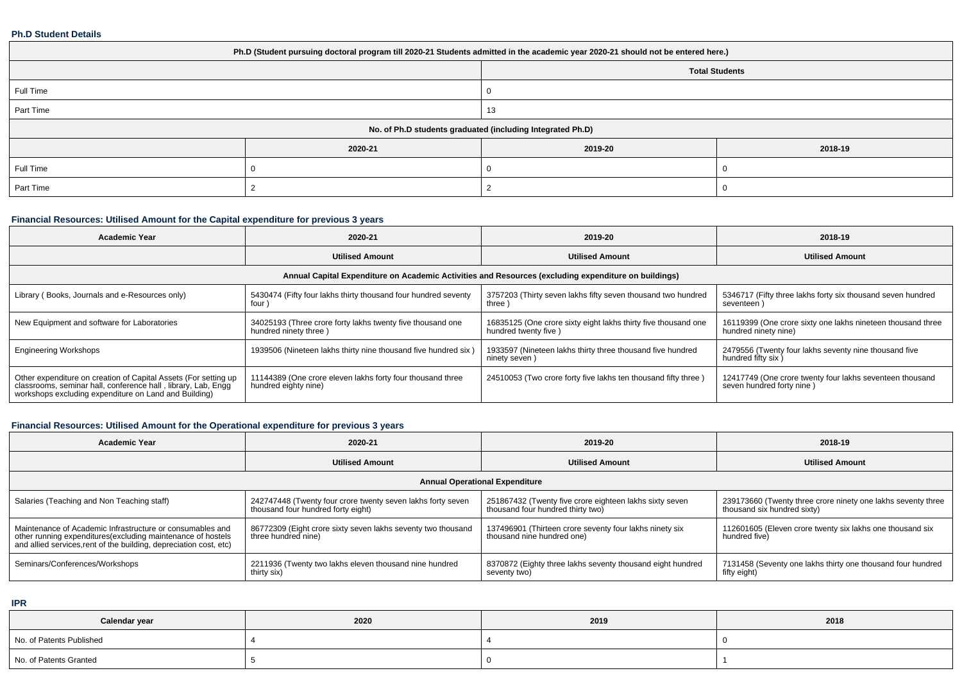#### **Ph.D Student Details**

| Ph.D (Student pursuing doctoral program till 2020-21 Students admitted in the academic year 2020-21 should not be entered here.) |         |                                                            |         |  |  |  |  |
|----------------------------------------------------------------------------------------------------------------------------------|---------|------------------------------------------------------------|---------|--|--|--|--|
|                                                                                                                                  |         | <b>Total Students</b>                                      |         |  |  |  |  |
| Full Time                                                                                                                        |         |                                                            |         |  |  |  |  |
| Part Time                                                                                                                        |         | 13                                                         |         |  |  |  |  |
|                                                                                                                                  |         | No. of Ph.D students graduated (including Integrated Ph.D) |         |  |  |  |  |
|                                                                                                                                  | 2020-21 | 2019-20                                                    | 2018-19 |  |  |  |  |
| Full Time                                                                                                                        |         |                                                            |         |  |  |  |  |
| Part Time                                                                                                                        |         |                                                            |         |  |  |  |  |

# **Financial Resources: Utilised Amount for the Capital expenditure for previous 3 years**

| <b>Academic Year</b>                                                                                                                                                                      | 2020-21                                                                             | 2019-20                                                                                              | 2018-19                                                                               |
|-------------------------------------------------------------------------------------------------------------------------------------------------------------------------------------------|-------------------------------------------------------------------------------------|------------------------------------------------------------------------------------------------------|---------------------------------------------------------------------------------------|
|                                                                                                                                                                                           | <b>Utilised Amount</b>                                                              | <b>Utilised Amount</b>                                                                               | <b>Utilised Amount</b>                                                                |
|                                                                                                                                                                                           |                                                                                     | Annual Capital Expenditure on Academic Activities and Resources (excluding expenditure on buildings) |                                                                                       |
| Library (Books, Journals and e-Resources only)                                                                                                                                            | 5430474 (Fifty four lakhs thirty thousand four hundred seventy<br>four)             | 3757203 (Thirty seven lakhs fifty seven thousand two hundred<br>three)                               | 5346717 (Fifty three lakhs forty six thousand seven hundred<br>seventeen)             |
| New Equipment and software for Laboratories                                                                                                                                               | 34025193 (Three crore forty lakhs twenty five thousand one<br>hundred ninety three) | 16835125 (One crore sixty eight lakhs thirty five thousand one<br>hundred twenty five)               | 16119399 (One crore sixty one lakhs nineteen thousand three<br>hundred ninety nine)   |
| <b>Engineering Workshops</b>                                                                                                                                                              | 1939506 (Nineteen lakhs thirty nine thousand five hundred six)                      | 1933597 (Nineteen lakhs thirty three thousand five hundred<br>ninety seven)                          | 2479556 (Twenty four lakhs seventy nine thousand five<br>hundred fifty six)           |
| Other expenditure on creation of Capital Assets (For setting up<br>classrooms, seminar hall, conference hall, library, Lab, Engg<br>workshops excluding expenditure on Land and Building) | 11144389 (One crore eleven lakhs forty four thousand three<br>hundred eighty nine)  | 24510053 (Two crore forty five lakhs ten thousand fifty three)                                       | 12417749 (One crore twenty four lakhs seventeen thousand<br>seven hundred forty nine) |

# **Financial Resources: Utilised Amount for the Operational expenditure for previous 3 years**

| Academic Year                                                                                                                                                                                   | 2020-21                                                                                           | 2019-20                                                                                      | 2018-19                                                                                     |  |  |  |  |  |  |
|-------------------------------------------------------------------------------------------------------------------------------------------------------------------------------------------------|---------------------------------------------------------------------------------------------------|----------------------------------------------------------------------------------------------|---------------------------------------------------------------------------------------------|--|--|--|--|--|--|
|                                                                                                                                                                                                 | <b>Utilised Amount</b>                                                                            | <b>Utilised Amount</b>                                                                       | <b>Utilised Amount</b>                                                                      |  |  |  |  |  |  |
| <b>Annual Operational Expenditure</b>                                                                                                                                                           |                                                                                                   |                                                                                              |                                                                                             |  |  |  |  |  |  |
| Salaries (Teaching and Non Teaching staff)                                                                                                                                                      | 242747448 (Twenty four crore twenty seven lakhs forty seven<br>thousand four hundred forty eight) | 251867432 (Twenty five crore eighteen lakhs sixty seven<br>thousand four hundred thirty two) | 239173660 (Twenty three crore ninety one lakhs seventy three<br>thousand six hundred sixty) |  |  |  |  |  |  |
| Maintenance of Academic Infrastructure or consumables and<br>other running expenditures (excluding maintenance of hostels<br>and allied services, rent of the building, depreciation cost, etc) | 86772309 (Eight crore sixty seven lakhs seventy two thousand<br>three hundred nine)               | 137496901 (Thirteen crore seventy four lakhs ninety six<br>thousand nine hundred one)        | 112601605 (Eleven crore twenty six lakhs one thousand six<br>hundred five)                  |  |  |  |  |  |  |
| Seminars/Conferences/Workshops                                                                                                                                                                  | 2211936 (Twenty two lakhs eleven thousand nine hundred<br>thirty six)                             | 8370872 (Eighty three lakhs seventy thousand eight hundred<br>seventy two)                   | 7131458 (Seventy one lakhs thirty one thousand four hundred<br>fifty eight)                 |  |  |  |  |  |  |

**IPR**

| Calendar year            | 2020 | 2019 | 2018 |
|--------------------------|------|------|------|
| No. of Patents Published |      |      |      |
| No. of Patents Granted   |      |      |      |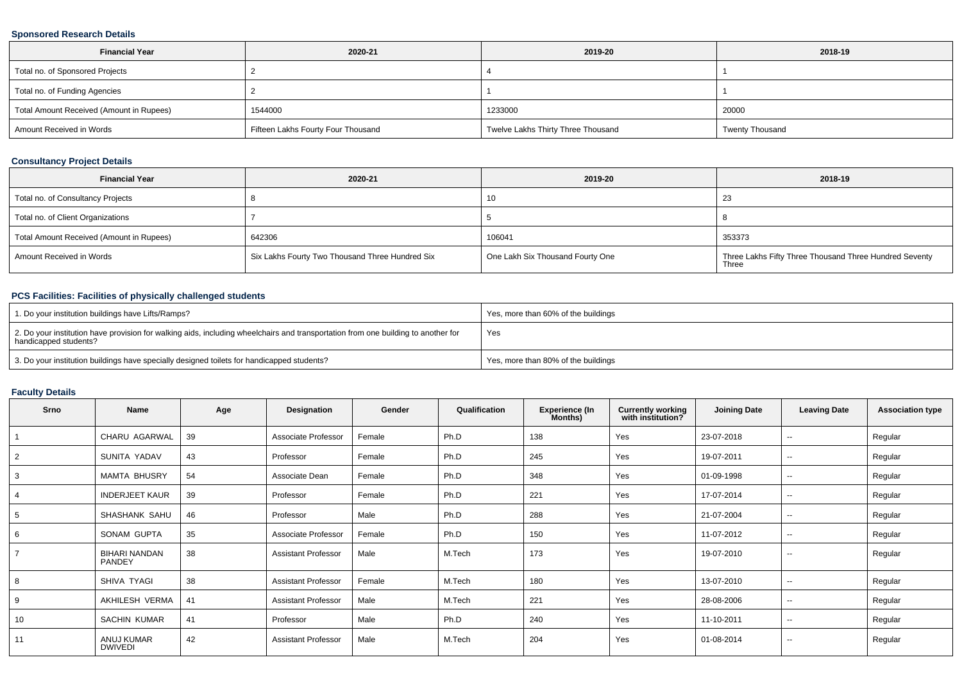### **Sponsored Research Details**

| <b>Financial Year</b>                    | 2020-21                            | 2019-20                            | 2018-19                |
|------------------------------------------|------------------------------------|------------------------------------|------------------------|
| Total no. of Sponsored Projects          |                                    |                                    |                        |
| Total no. of Funding Agencies            |                                    |                                    |                        |
| Total Amount Received (Amount in Rupees) | 1544000                            | 1233000                            | 20000                  |
| Amount Received in Words                 | Fifteen Lakhs Fourty Four Thousand | Twelve Lakhs Thirty Three Thousand | <b>Twenty Thousand</b> |

### **Consultancy Project Details**

| <b>Financial Year</b>                    | 2020-21                                         | 2019-20                          | 2018-19                                                         |
|------------------------------------------|-------------------------------------------------|----------------------------------|-----------------------------------------------------------------|
| Total no. of Consultancy Projects        |                                                 | 10                               | د∠                                                              |
| Total no. of Client Organizations        |                                                 |                                  |                                                                 |
| Total Amount Received (Amount in Rupees) | 642306                                          | 106041                           | 353373                                                          |
| Amount Received in Words                 | Six Lakhs Fourty Two Thousand Three Hundred Six | One Lakh Six Thousand Fourty One | Three Lakhs Fifty Three Thousand Three Hundred Seventy<br>Three |

## **PCS Facilities: Facilities of physically challenged students**

| 1. Do your institution buildings have Lifts/Ramps?                                                                                                         | Yes, more than 60% of the buildings |
|------------------------------------------------------------------------------------------------------------------------------------------------------------|-------------------------------------|
| 2. Do your institution have provision for walking aids, including wheelchairs and transportation from one building to another for<br>handicapped students? | Yes                                 |
| 3. Do your institution buildings have specially designed toilets for handicapped students?                                                                 | Yes, more than 80% of the buildings |

#### **Faculty Details**

| Srno | Name                           | Age | Designation                | Gender | Qualification | <b>Experience (In</b><br>Months) | <b>Currently working</b><br>with institution? | <b>Joining Date</b> | <b>Leaving Date</b>      | <b>Association type</b> |
|------|--------------------------------|-----|----------------------------|--------|---------------|----------------------------------|-----------------------------------------------|---------------------|--------------------------|-------------------------|
|      | CHARU AGARWAL                  | 39  | Associate Professor        | Female | Ph.D          | 138                              | Yes                                           | 23-07-2018          | $\sim$                   | Regular                 |
| 2    | SUNITA YADAV                   | 43  | Professor                  | Female | Ph.D          | 245                              | Yes                                           | 19-07-2011          | $\sim$                   | Regular                 |
|      | <b>MAMTA BHUSRY</b>            | 54  | Associate Dean             | Female | Ph.D          | 348                              | Yes                                           | 01-09-1998          | $\sim$                   | Regular                 |
|      | <b>INDERJEET KAUR</b>          | 39  | Professor                  | Female | Ph.D          | 221                              | Yes                                           | 17-07-2014          | $\sim$                   | Regular                 |
| 5    | SHASHANK SAHU                  | 46  | Professor                  | Male   | Ph.D          | 288                              | Yes                                           | 21-07-2004          | $\overline{\phantom{a}}$ | Regular                 |
| 6    | SONAM GUPTA                    | 35  | Associate Professor        | Female | Ph.D          | 150                              | Yes                                           | 11-07-2012          | $\sim$                   | Regular                 |
|      | <b>BIHARI NANDAN</b><br>PANDEY | 38  | <b>Assistant Professor</b> | Male   | M.Tech        | 173                              | Yes                                           | 19-07-2010          | $\sim$                   | Regular                 |
|      | SHIVA TYAGI                    | 38  | <b>Assistant Professor</b> | Female | M.Tech        | 180                              | Yes                                           | 13-07-2010          | $\overline{\phantom{a}}$ | Regular                 |
| 9    | AKHILESH VERMA                 | 41  | <b>Assistant Professor</b> | Male   | M.Tech        | 221                              | Yes                                           | 28-08-2006          | $\sim$                   | Regular                 |
| 10   | SACHIN KUMAR                   | 41  | Professor                  | Male   | Ph.D          | 240                              | Yes                                           | 11-10-2011          | $\sim$                   | Regular                 |
| 11   | ANUJ KUMAR<br><b>DWIVEDI</b>   | 42  | <b>Assistant Professor</b> | Male   | M.Tech        | 204                              | Yes                                           | 01-08-2014          | $\sim$                   | Regular                 |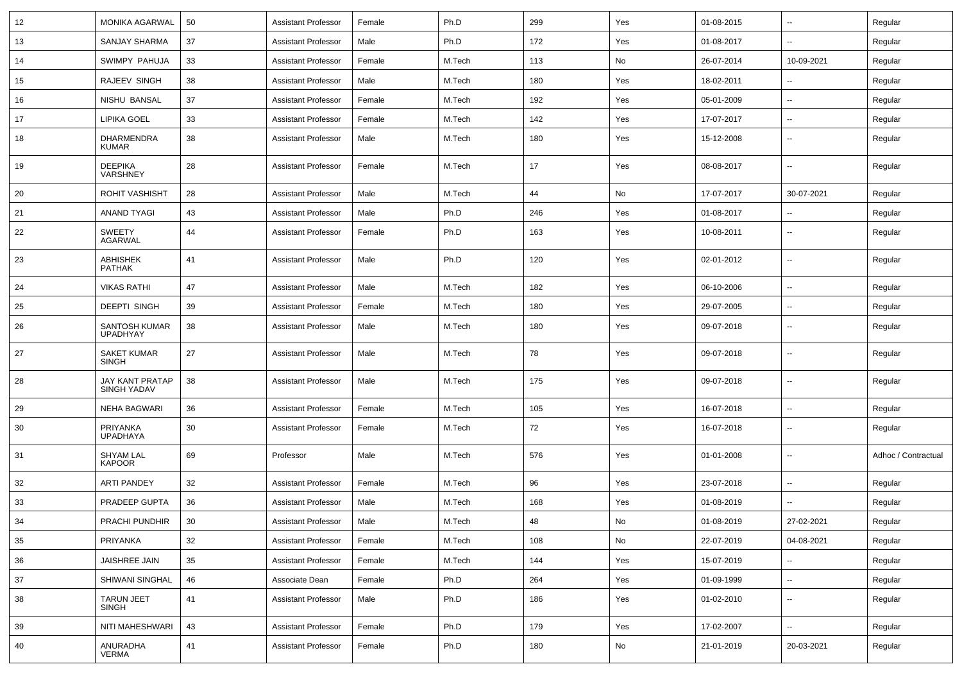| 12 | <b>MONIKA AGARWAL</b>                        | 50 | Assistant Professor        | Female | Ph.D   | 299 | Yes | 01-08-2015 | $\sim$                   | Regular             |
|----|----------------------------------------------|----|----------------------------|--------|--------|-----|-----|------------|--------------------------|---------------------|
| 13 | SANJAY SHARMA                                | 37 | <b>Assistant Professor</b> | Male   | Ph.D   | 172 | Yes | 01-08-2017 | --                       | Regular             |
| 14 | SWIMPY PAHUJA                                | 33 | <b>Assistant Professor</b> | Female | M.Tech | 113 | No  | 26-07-2014 | 10-09-2021               | Regular             |
| 15 | RAJEEV SINGH                                 | 38 | <b>Assistant Professor</b> | Male   | M.Tech | 180 | Yes | 18-02-2011 |                          | Regular             |
| 16 | NISHU BANSAL                                 | 37 | <b>Assistant Professor</b> | Female | M.Tech | 192 | Yes | 05-01-2009 | $\overline{\phantom{a}}$ | Regular             |
| 17 | LIPIKA GOEL                                  | 33 | <b>Assistant Professor</b> | Female | M.Tech | 142 | Yes | 17-07-2017 | $\sim$                   | Regular             |
| 18 | <b>DHARMENDRA</b><br><b>KUMAR</b>            | 38 | <b>Assistant Professor</b> | Male   | M.Tech | 180 | Yes | 15-12-2008 | $\overline{\phantom{a}}$ | Regular             |
| 19 | <b>DEEPIKA</b><br>VARSHNEY                   | 28 | <b>Assistant Professor</b> | Female | M.Tech | 17  | Yes | 08-08-2017 | $\mathbf{u}$             | Regular             |
| 20 | <b>ROHIT VASHISHT</b>                        | 28 | <b>Assistant Professor</b> | Male   | M.Tech | 44  | No  | 17-07-2017 | 30-07-2021               | Regular             |
| 21 | <b>ANAND TYAGI</b>                           | 43 | <b>Assistant Professor</b> | Male   | Ph.D   | 246 | Yes | 01-08-2017 |                          | Regular             |
| 22 | SWEETY<br><b>AGARWAL</b>                     | 44 | <b>Assistant Professor</b> | Female | Ph.D   | 163 | Yes | 10-08-2011 | $\overline{\phantom{a}}$ | Regular             |
| 23 | <b>ABHISHEK</b><br><b>PATHAK</b>             | 41 | <b>Assistant Professor</b> | Male   | Ph.D   | 120 | Yes | 02-01-2012 | $\mathbf{u}$             | Regular             |
| 24 | <b>VIKAS RATHI</b>                           | 47 | <b>Assistant Professor</b> | Male   | M.Tech | 182 | Yes | 06-10-2006 | $\mathbf{u}$             | Regular             |
| 25 | <b>DEEPTI SINGH</b>                          | 39 | Assistant Professor        | Female | M.Tech | 180 | Yes | 29-07-2005 | $\overline{\phantom{a}}$ | Regular             |
| 26 | SANTOSH KUMAR<br><b>UPADHYAY</b>             | 38 | Assistant Professor        | Male   | M.Tech | 180 | Yes | 09-07-2018 | $\overline{\phantom{a}}$ | Regular             |
| 27 | <b>SAKET KUMAR</b><br><b>SINGH</b>           | 27 | Assistant Professor        | Male   | M.Tech | 78  | Yes | 09-07-2018 | --                       | Regular             |
| 28 | <b>JAY KANT PRATAP</b><br><b>SINGH YADAV</b> | 38 | <b>Assistant Professor</b> | Male   | M.Tech | 175 | Yes | 09-07-2018 | $\overline{\phantom{a}}$ | Regular             |
| 29 | <b>NEHA BAGWARI</b>                          | 36 | <b>Assistant Professor</b> | Female | M.Tech | 105 | Yes | 16-07-2018 | --                       | Regular             |
| 30 | PRIYANKA<br><b>UPADHAYA</b>                  | 30 | <b>Assistant Professor</b> | Female | M.Tech | 72  | Yes | 16-07-2018 | $\overline{\phantom{a}}$ | Regular             |
| 31 | <b>SHYAM LAL</b><br><b>KAPOOR</b>            | 69 | Professor                  | Male   | M.Tech | 576 | Yes | 01-01-2008 | $\overline{\phantom{a}}$ | Adhoc / Contractual |
| 32 | <b>ARTI PANDEY</b>                           | 32 | Assistant Professor        | Female | M.Tech | 96  | Yes | 23-07-2018 |                          | Regular             |
| 33 | PRADEEP GUPTA                                | 36 | <b>Assistant Professor</b> | Male   | M.Tech | 168 | Yes | 01-08-2019 |                          | Regular             |
| 34 | PRACHI PUNDHIR                               | 30 | Assistant Professor        | Male   | M.Tech | 48  | No. | 01-08-2019 | 27-02-2021               | Regular             |
| 35 | PRIYANKA                                     | 32 | <b>Assistant Professor</b> | Female | M.Tech | 108 | No  | 22-07-2019 | 04-08-2021               | Regular             |
| 36 | JAISHREE JAIN                                | 35 | <b>Assistant Professor</b> | Female | M.Tech | 144 | Yes | 15-07-2019 | $\mathbf{u}$             | Regular             |
| 37 | SHIWANI SINGHAL                              | 46 | Associate Dean             | Female | Ph.D   | 264 | Yes | 01-09-1999 | $\sim$                   | Regular             |
| 38 | TARUN JEET<br><b>SINGH</b>                   | 41 | <b>Assistant Professor</b> | Male   | Ph.D   | 186 | Yes | 01-02-2010 | $\mathbf{u}$             | Regular             |
| 39 | NITI MAHESHWARI                              | 43 | <b>Assistant Professor</b> | Female | Ph.D   | 179 | Yes | 17-02-2007 | $\mathbf{u}$             | Regular             |
| 40 | ANURADHA<br>VERMA                            | 41 | <b>Assistant Professor</b> | Female | Ph.D   | 180 | No  | 21-01-2019 | 20-03-2021               | Regular             |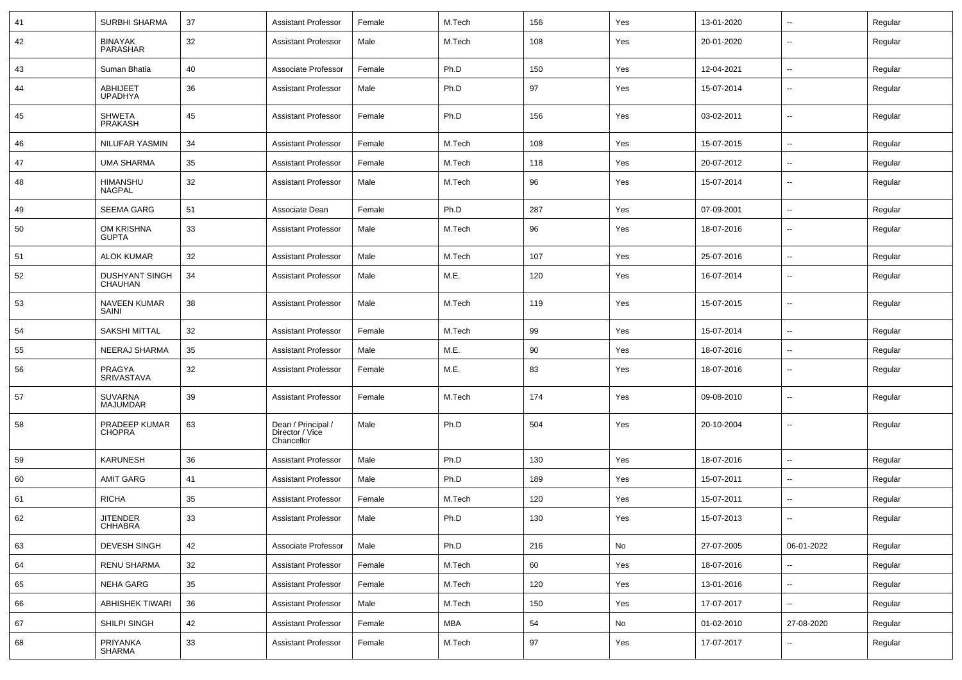| 41 | <b>SURBHI SHARMA</b>              | 37 | <b>Assistant Professor</b>                          | Female | M.Tech | 156 | Yes | 13-01-2020 | ⊶.                       | Regular |
|----|-----------------------------------|----|-----------------------------------------------------|--------|--------|-----|-----|------------|--------------------------|---------|
| 42 | <b>BINAYAK</b><br>PARASHAR        | 32 | <b>Assistant Professor</b>                          | Male   | M.Tech | 108 | Yes | 20-01-2020 | --                       | Regular |
| 43 | Suman Bhatia                      | 40 | Associate Professor                                 | Female | Ph.D   | 150 | Yes | 12-04-2021 | -−                       | Regular |
| 44 | <b>ABHIJEET</b><br><b>UPADHYA</b> | 36 | <b>Assistant Professor</b>                          | Male   | Ph.D   | 97  | Yes | 15-07-2014 | ⊷.                       | Regular |
| 45 | <b>SHWETA</b><br>PRAKASH          | 45 | <b>Assistant Professor</b>                          | Female | Ph.D   | 156 | Yes | 03-02-2011 | $\overline{\phantom{a}}$ | Regular |
| 46 | <b>NILUFAR YASMIN</b>             | 34 | <b>Assistant Professor</b>                          | Female | M.Tech | 108 | Yes | 15-07-2015 | ⊷.                       | Regular |
| 47 | <b>UMA SHARMA</b>                 | 35 | <b>Assistant Professor</b>                          | Female | M.Tech | 118 | Yes | 20-07-2012 | $\overline{\phantom{a}}$ | Regular |
| 48 | <b>HIMANSHU</b><br><b>NAGPAL</b>  | 32 | <b>Assistant Professor</b>                          | Male   | M.Tech | 96  | Yes | 15-07-2014 |                          | Regular |
| 49 | <b>SEEMA GARG</b>                 | 51 | Associate Dean                                      | Female | Ph.D   | 287 | Yes | 07-09-2001 | --                       | Regular |
| 50 | OM KRISHNA<br><b>GUPTA</b>        | 33 | <b>Assistant Professor</b>                          | Male   | M.Tech | 96  | Yes | 18-07-2016 | $\overline{\phantom{a}}$ | Regular |
| 51 | <b>ALOK KUMAR</b>                 | 32 | <b>Assistant Professor</b>                          | Male   | M.Tech | 107 | Yes | 25-07-2016 | $\overline{\phantom{a}}$ | Regular |
| 52 | <b>DUSHYANT SINGH</b><br>CHAUHAN  | 34 | <b>Assistant Professor</b>                          | Male   | M.E.   | 120 | Yes | 16-07-2014 | --                       | Regular |
| 53 | <b>NAVEEN KUMAR</b><br>SAINI      | 38 | <b>Assistant Professor</b>                          | Male   | M.Tech | 119 | Yes | 15-07-2015 | $\overline{\phantom{a}}$ | Regular |
| 54 | <b>SAKSHI MITTAL</b>              | 32 | <b>Assistant Professor</b>                          | Female | M.Tech | 99  | Yes | 15-07-2014 | --                       | Regular |
| 55 | NEERAJ SHARMA                     | 35 | <b>Assistant Professor</b>                          | Male   | M.E.   | 90  | Yes | 18-07-2016 | --                       | Regular |
| 56 | PRAGYA<br><b>SRIVASTAVA</b>       | 32 | <b>Assistant Professor</b>                          | Female | M.E.   | 83  | Yes | 18-07-2016 | $\overline{\phantom{a}}$ | Regular |
| 57 | SUVARNA<br><b>MAJUMDAR</b>        | 39 | <b>Assistant Professor</b>                          | Female | M.Tech | 174 | Yes | 09-08-2010 | --                       | Regular |
| 58 | PRADEEP KUMAR<br><b>CHOPRA</b>    | 63 | Dean / Principal /<br>Director / Vice<br>Chancellor | Male   | Ph.D   | 504 | Yes | 20-10-2004 | $\overline{\phantom{a}}$ | Regular |
| 59 | <b>KARUNESH</b>                   | 36 | <b>Assistant Professor</b>                          | Male   | Ph.D   | 130 | Yes | 18-07-2016 | --                       | Regular |
| 60 | AMIT GARG                         | 41 | <b>Assistant Professor</b>                          | Male   | Ph.D   | 189 | Yes | 15-07-2011 | $\overline{\phantom{a}}$ | Regular |
| 61 | <b>RICHA</b>                      | 35 | <b>Assistant Professor</b>                          | Female | M.Tech | 120 | Yes | 15-07-2011 | --                       | Regular |
| 62 | <b>JITENDER</b><br><b>CHHABRA</b> | 33 | <b>Assistant Professor</b>                          | Male   | Ph.D   | 130 | Yes | 15-07-2013 | --                       | Regular |
| 63 | <b>DEVESH SINGH</b>               | 42 | Associate Professor                                 | Male   | Ph.D   | 216 | No  | 27-07-2005 | 06-01-2022               | Regular |
| 64 | RENU SHARMA                       | 32 | <b>Assistant Professor</b>                          | Female | M.Tech | 60  | Yes | 18-07-2016 | Ξ.                       | Regular |
| 65 | <b>NEHA GARG</b>                  | 35 | <b>Assistant Professor</b>                          | Female | M.Tech | 120 | Yes | 13-01-2016 | Щ,                       | Regular |
| 66 | <b>ABHISHEK TIWARI</b>            | 36 | <b>Assistant Professor</b>                          | Male   | M.Tech | 150 | Yes | 17-07-2017 | $\overline{\phantom{a}}$ | Regular |
| 67 | SHILPI SINGH                      | 42 | <b>Assistant Professor</b>                          | Female | MBA    | 54  | No  | 01-02-2010 | 27-08-2020               | Regular |
| 68 | PRIYANKA<br>SHARMA                | 33 | <b>Assistant Professor</b>                          | Female | M.Tech | 97  | Yes | 17-07-2017 | −−                       | Regular |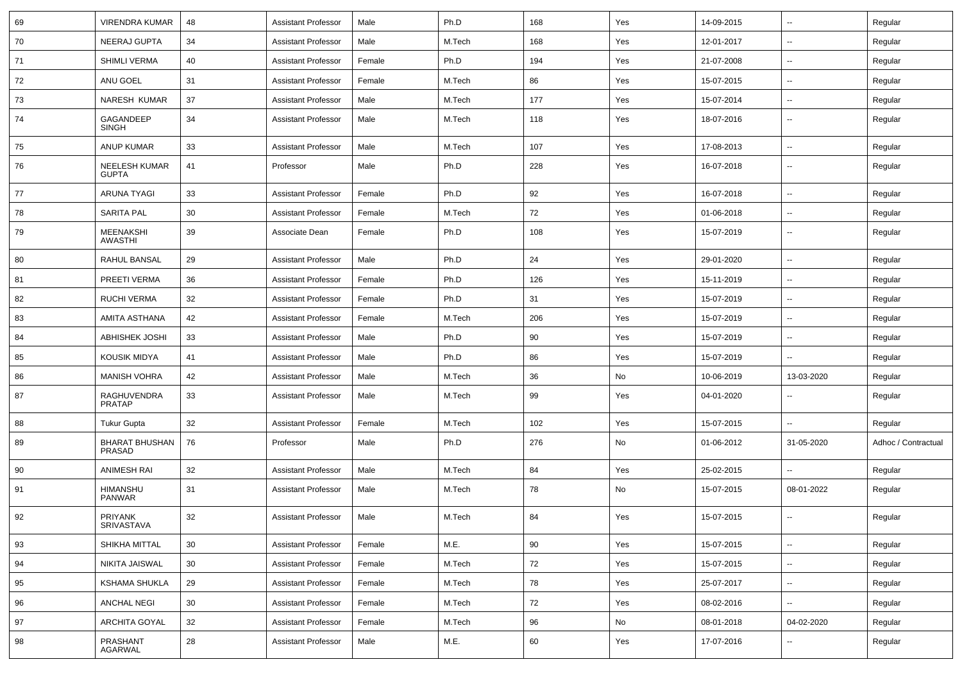| 69 | <b>VIRENDRA KUMAR</b>                | 48 | <b>Assistant Professor</b> | Male   | Ph.D   | 168 | Yes | 14-09-2015 | $\overline{\phantom{a}}$ | Regular             |
|----|--------------------------------------|----|----------------------------|--------|--------|-----|-----|------------|--------------------------|---------------------|
| 70 | NEERAJ GUPTA                         | 34 | <b>Assistant Professor</b> | Male   | M.Tech | 168 | Yes | 12-01-2017 | $\overline{\phantom{a}}$ | Regular             |
| 71 | <b>SHIMLI VERMA</b>                  | 40 | <b>Assistant Professor</b> | Female | Ph.D   | 194 | Yes | 21-07-2008 | $\overline{a}$           | Regular             |
| 72 | ANU GOEL                             | 31 | <b>Assistant Professor</b> | Female | M.Tech | 86  | Yes | 15-07-2015 | --                       | Regular             |
| 73 | NARESH KUMAR                         | 37 | <b>Assistant Professor</b> | Male   | M.Tech | 177 | Yes | 15-07-2014 | --                       | Regular             |
| 74 | GAGANDEEP<br><b>SINGH</b>            | 34 | <b>Assistant Professor</b> | Male   | M.Tech | 118 | Yes | 18-07-2016 | $\overline{\phantom{a}}$ | Regular             |
| 75 | <b>ANUP KUMAR</b>                    | 33 | <b>Assistant Professor</b> | Male   | M.Tech | 107 | Yes | 17-08-2013 | $\overline{\phantom{a}}$ | Regular             |
| 76 | <b>NEELESH KUMAR</b><br><b>GUPTA</b> | 41 | Professor                  | Male   | Ph.D   | 228 | Yes | 16-07-2018 | --                       | Regular             |
| 77 | <b>ARUNA TYAGI</b>                   | 33 | <b>Assistant Professor</b> | Female | Ph.D   | 92  | Yes | 16-07-2018 | $\overline{\phantom{a}}$ | Regular             |
| 78 | <b>SARITA PAL</b>                    | 30 | <b>Assistant Professor</b> | Female | M.Tech | 72  | Yes | 01-06-2018 | ⊷.                       | Regular             |
| 79 | <b>MEENAKSHI</b><br><b>AWASTHI</b>   | 39 | Associate Dean             | Female | Ph.D   | 108 | Yes | 15-07-2019 | --                       | Regular             |
| 80 | RAHUL BANSAL                         | 29 | <b>Assistant Professor</b> | Male   | Ph.D   | 24  | Yes | 29-01-2020 | $\overline{\phantom{a}}$ | Regular             |
| 81 | PREETI VERMA                         | 36 | <b>Assistant Professor</b> | Female | Ph.D   | 126 | Yes | 15-11-2019 | --                       | Regular             |
| 82 | <b>RUCHI VERMA</b>                   | 32 | <b>Assistant Professor</b> | Female | Ph.D   | 31  | Yes | 15-07-2019 | --                       | Regular             |
| 83 | AMITA ASTHANA                        | 42 | <b>Assistant Professor</b> | Female | M.Tech | 206 | Yes | 15-07-2019 | $\overline{\phantom{a}}$ | Regular             |
| 84 | <b>ABHISHEK JOSHI</b>                | 33 | <b>Assistant Professor</b> | Male   | Ph.D   | 90  | Yes | 15-07-2019 | $\overline{\phantom{a}}$ | Regular             |
| 85 | KOUSIK MIDYA                         | 41 | <b>Assistant Professor</b> | Male   | Ph.D   | 86  | Yes | 15-07-2019 | н.                       | Regular             |
| 86 | <b>MANISH VOHRA</b>                  | 42 | <b>Assistant Professor</b> | Male   | M.Tech | 36  | No  | 10-06-2019 | 13-03-2020               | Regular             |
| 87 | RAGHUVENDRA<br><b>PRATAP</b>         | 33 | <b>Assistant Professor</b> | Male   | M.Tech | 99  | Yes | 04-01-2020 | --                       | Regular             |
| 88 | <b>Tukur Gupta</b>                   | 32 | <b>Assistant Professor</b> | Female | M.Tech | 102 | Yes | 15-07-2015 | --                       | Regular             |
| 89 | <b>BHARAT BHUSHAN</b><br>PRASAD      | 76 | Professor                  | Male   | Ph.D   | 276 | No  | 01-06-2012 | 31-05-2020               | Adhoc / Contractual |
| 90 | <b>ANIMESH RAI</b>                   | 32 | <b>Assistant Professor</b> | Male   | M.Tech | 84  | Yes | 25-02-2015 | -−                       | Regular             |
| 91 | HIMANSHU<br><b>PANWAR</b>            | 31 | <b>Assistant Professor</b> | Male   | M.Tech | 78  | No  | 15-07-2015 | 08-01-2022               | Regular             |
| 92 | <b>PRIYANK</b><br>SRIVASTAVA         | 32 | <b>Assistant Professor</b> | Male   | M.Tech | 84  | Yes | 15-07-2015 | --                       | Regular             |
| 93 | SHIKHA MITTAL                        | 30 | <b>Assistant Professor</b> | Female | M.E.   | 90  | Yes | 15-07-2015 | н.                       | Regular             |
| 94 | <b>NIKITA JAISWAL</b>                | 30 | <b>Assistant Professor</b> | Female | M.Tech | 72  | Yes | 15-07-2015 | н.                       | Regular             |
| 95 | <b>KSHAMA SHUKLA</b>                 | 29 | <b>Assistant Professor</b> | Female | M.Tech | 78  | Yes | 25-07-2017 | $\sim$                   | Regular             |
| 96 | <b>ANCHAL NEGI</b>                   | 30 | <b>Assistant Professor</b> | Female | M.Tech | 72  | Yes | 08-02-2016 | $\sim$                   | Regular             |
| 97 | <b>ARCHITA GOYAL</b>                 | 32 | <b>Assistant Professor</b> | Female | M.Tech | 96  | No  | 08-01-2018 | 04-02-2020               | Regular             |
| 98 | PRASHANT<br>AGARWAL                  | 28 | <b>Assistant Professor</b> | Male   | M.E.   | 60  | Yes | 17-07-2016 | --                       | Regular             |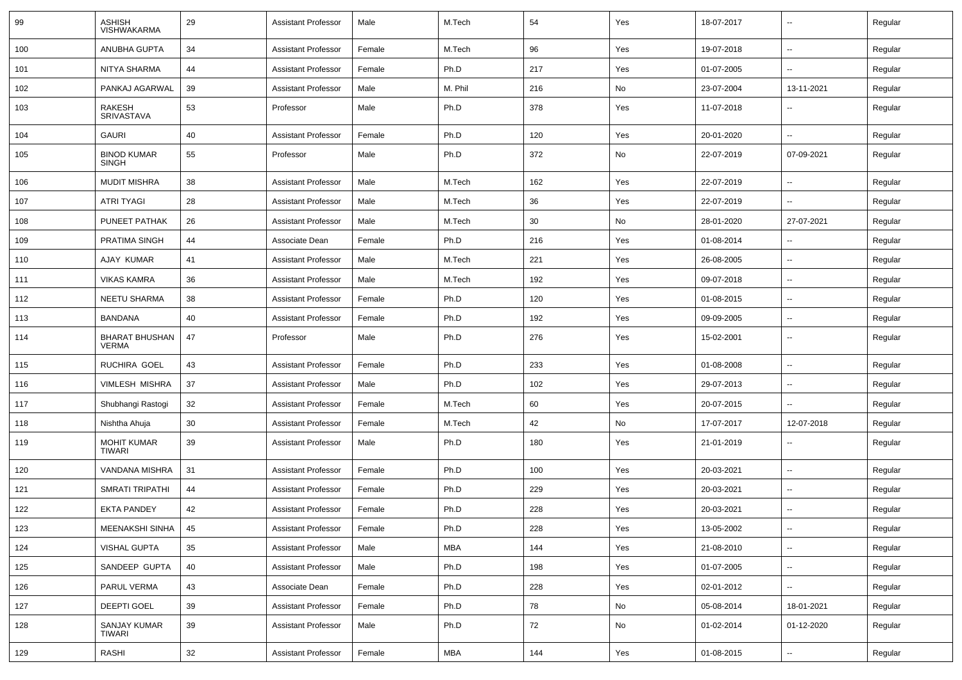| 99  | <b>ASHISH</b><br><b>VISHWAKARMA</b>   | 29 | <b>Assistant Professor</b> | Male   | M.Tech     | 54  | Yes | 18-07-2017 | $\overline{\phantom{a}}$ | Regular |
|-----|---------------------------------------|----|----------------------------|--------|------------|-----|-----|------------|--------------------------|---------|
| 100 | <b>ANUBHA GUPTA</b>                   | 34 | <b>Assistant Professor</b> | Female | M.Tech     | 96  | Yes | 19-07-2018 | ⊷.                       | Regular |
| 101 | NITYA SHARMA                          | 44 | <b>Assistant Professor</b> | Female | Ph.D       | 217 | Yes | 01-07-2005 | н.                       | Regular |
| 102 | PANKAJ AGARWAL                        | 39 | <b>Assistant Professor</b> | Male   | M. Phil    | 216 | No  | 23-07-2004 | 13-11-2021               | Regular |
| 103 | RAKESH<br><b>SRIVASTAVA</b>           | 53 | Professor                  | Male   | Ph.D       | 378 | Yes | 11-07-2018 | -−                       | Regular |
| 104 | <b>GAURI</b>                          | 40 | <b>Assistant Professor</b> | Female | Ph.D       | 120 | Yes | 20-01-2020 | --                       | Regular |
| 105 | <b>BINOD KUMAR</b><br><b>SINGH</b>    | 55 | Professor                  | Male   | Ph.D       | 372 | No  | 22-07-2019 | 07-09-2021               | Regular |
| 106 | <b>MUDIT MISHRA</b>                   | 38 | <b>Assistant Professor</b> | Male   | M.Tech     | 162 | Yes | 22-07-2019 | -−                       | Regular |
| 107 | <b>ATRI TYAGI</b>                     | 28 | <b>Assistant Professor</b> | Male   | M.Tech     | 36  | Yes | 22-07-2019 | Ξ.                       | Regular |
| 108 | PUNEET PATHAK                         | 26 | <b>Assistant Professor</b> | Male   | M.Tech     | 30  | No  | 28-01-2020 | 27-07-2021               | Regular |
| 109 | <b>PRATIMA SINGH</b>                  | 44 | Associate Dean             | Female | Ph.D       | 216 | Yes | 01-08-2014 |                          | Regular |
| 110 | AJAY KUMAR                            | 41 | <b>Assistant Professor</b> | Male   | M.Tech     | 221 | Yes | 26-08-2005 | -−                       | Regular |
| 111 | <b>VIKAS KAMRA</b>                    | 36 | <b>Assistant Professor</b> | Male   | M.Tech     | 192 | Yes | 09-07-2018 | --                       | Regular |
| 112 | <b>NEETU SHARMA</b>                   | 38 | <b>Assistant Professor</b> | Female | Ph.D       | 120 | Yes | 01-08-2015 | --                       | Regular |
| 113 | <b>BANDANA</b>                        | 40 | <b>Assistant Professor</b> | Female | Ph.D       | 192 | Yes | 09-09-2005 | $\sim$                   | Regular |
| 114 | <b>BHARAT BHUSHAN</b><br><b>VERMA</b> | 47 | Professor                  | Male   | Ph.D       | 276 | Yes | 15-02-2001 | ⊷.                       | Regular |
| 115 | RUCHIRA GOEL                          | 43 | <b>Assistant Professor</b> | Female | Ph.D       | 233 | Yes | 01-08-2008 | $\overline{\phantom{a}}$ | Regular |
| 116 | <b>VIMLESH MISHRA</b>                 | 37 | <b>Assistant Professor</b> | Male   | Ph.D       | 102 | Yes | 29-07-2013 | ⊷.                       | Regular |
| 117 | Shubhangi Rastogi                     | 32 | <b>Assistant Professor</b> | Female | M.Tech     | 60  | Yes | 20-07-2015 | $\overline{\phantom{a}}$ | Regular |
| 118 | Nishtha Ahuja                         | 30 | <b>Assistant Professor</b> | Female | M.Tech     | 42  | No  | 17-07-2017 | 12-07-2018               | Regular |
| 119 | <b>MOHIT KUMAR</b><br>TIWARI          | 39 | <b>Assistant Professor</b> | Male   | Ph.D       | 180 | Yes | 21-01-2019 |                          | Regular |
| 120 | VANDANA MISHRA                        | 31 | <b>Assistant Professor</b> | Female | Ph.D       | 100 | Yes | 20-03-2021 | -−                       | Regular |
| 121 | SMRATI TRIPATHI                       | 44 | <b>Assistant Professor</b> | Female | Ph.D       | 229 | Yes | 20-03-2021 | ⊷.                       | Regular |
| 122 | <b>EKTA PANDEY</b>                    | 42 | <b>Assistant Professor</b> | Female | Ph.D       | 228 | Yes | 20-03-2021 | ⊷.                       | Regular |
| 123 | MEENAKSHI SINHA   45                  |    | <b>Assistant Professor</b> | Female | Ph.D       | 228 | Yes | 13-05-2002 | н.                       | Regular |
| 124 | <b>VISHAL GUPTA</b>                   | 35 | Assistant Professor        | Male   | MBA        | 144 | Yes | 21-08-2010 | н.                       | Regular |
| 125 | SANDEEP GUPTA                         | 40 | <b>Assistant Professor</b> | Male   | Ph.D       | 198 | Yes | 01-07-2005 | $\sim$                   | Regular |
| 126 | PARUL VERMA                           | 43 | Associate Dean             | Female | Ph.D       | 228 | Yes | 02-01-2012 | $\sim$                   | Regular |
| 127 | DEEPTI GOEL                           | 39 | <b>Assistant Professor</b> | Female | Ph.D       | 78  | No  | 05-08-2014 | 18-01-2021               | Regular |
| 128 | SANJAY KUMAR<br>TIWARI                | 39 | <b>Assistant Professor</b> | Male   | Ph.D       | 72  | No  | 01-02-2014 | 01-12-2020               | Regular |
| 129 | RASHI                                 | 32 | <b>Assistant Professor</b> | Female | <b>MBA</b> | 144 | Yes | 01-08-2015 | $\sim$                   | Regular |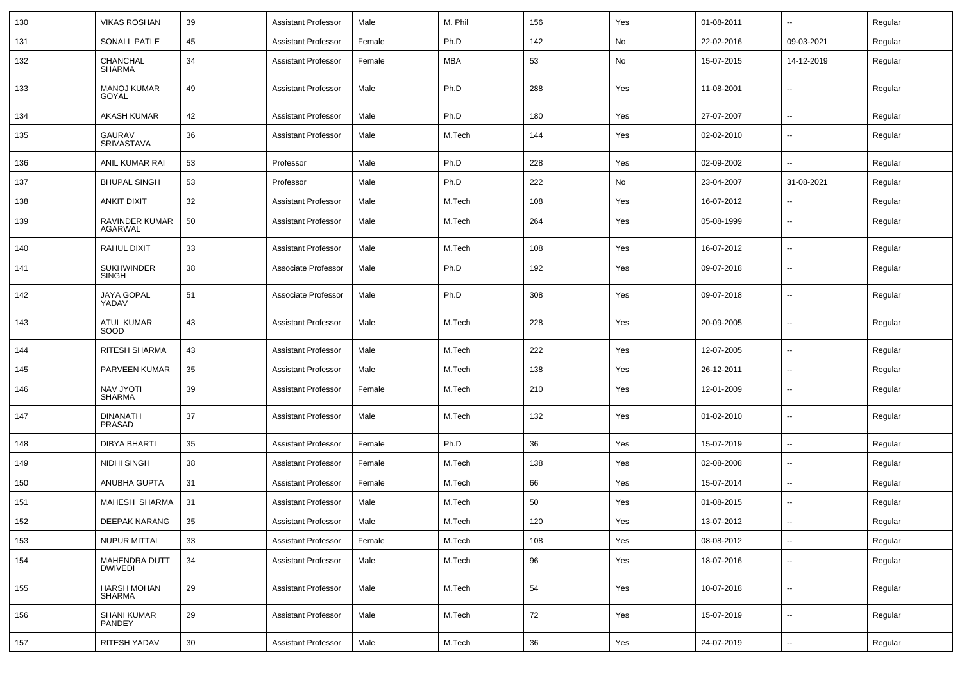| 130 | <b>VIKAS ROSHAN</b>                    | 39     | <b>Assistant Professor</b> | Male   | M. Phil    | 156    | Yes | 01-08-2011 | $\overline{\phantom{a}}$ | Regular |
|-----|----------------------------------------|--------|----------------------------|--------|------------|--------|-----|------------|--------------------------|---------|
| 131 | SONALI PATLE                           | 45     | <b>Assistant Professor</b> | Female | Ph.D       | 142    | No  | 22-02-2016 | 09-03-2021               | Regular |
| 132 | CHANCHAL<br>SHARMA                     | 34     | <b>Assistant Professor</b> | Female | <b>MBA</b> | 53     | No  | 15-07-2015 | 14-12-2019               | Regular |
| 133 | <b>MANOJ KUMAR</b><br>GOYAL            | 49     | <b>Assistant Professor</b> | Male   | Ph.D       | 288    | Yes | 11-08-2001 | $\overline{\phantom{a}}$ | Regular |
| 134 | AKASH KUMAR                            | 42     | <b>Assistant Professor</b> | Male   | Ph.D       | 180    | Yes | 27-07-2007 | $\overline{\phantom{a}}$ | Regular |
| 135 | GAURAV<br><b>SRIVASTAVA</b>            | 36     | <b>Assistant Professor</b> | Male   | M.Tech     | 144    | Yes | 02-02-2010 | -−                       | Regular |
| 136 | ANIL KUMAR RAI                         | 53     | Professor                  | Male   | Ph.D       | 228    | Yes | 02-09-2002 | --                       | Regular |
| 137 | <b>BHUPAL SINGH</b>                    | 53     | Professor                  | Male   | Ph.D       | 222    | No  | 23-04-2007 | 31-08-2021               | Regular |
| 138 | <b>ANKIT DIXIT</b>                     | 32     | <b>Assistant Professor</b> | Male   | M.Tech     | 108    | Yes | 16-07-2012 | $\overline{\phantom{a}}$ | Regular |
| 139 | RAVINDER KUMAR<br><b>AGARWAL</b>       | 50     | <b>Assistant Professor</b> | Male   | M.Tech     | 264    | Yes | 05-08-1999 | $\overline{\phantom{a}}$ | Regular |
| 140 | RAHUL DIXIT                            | 33     | <b>Assistant Professor</b> | Male   | M.Tech     | 108    | Yes | 16-07-2012 | ⊷.                       | Regular |
| 141 | <b>SUKHWINDER</b><br>SINGH             | 38     | Associate Professor        | Male   | Ph.D       | 192    | Yes | 09-07-2018 | --                       | Regular |
| 142 | JAYA GOPAL<br>YADAV                    | 51     | Associate Professor        | Male   | Ph.D       | 308    | Yes | 09-07-2018 | $\overline{\phantom{a}}$ | Regular |
| 143 | <b>ATUL KUMAR</b><br>SOOD              | 43     | <b>Assistant Professor</b> | Male   | M.Tech     | 228    | Yes | 20-09-2005 | ⊷.                       | Regular |
| 144 | RITESH SHARMA                          | 43     | <b>Assistant Professor</b> | Male   | M.Tech     | 222    | Yes | 12-07-2005 | $\overline{\phantom{a}}$ | Regular |
| 145 | PARVEEN KUMAR                          | 35     | <b>Assistant Professor</b> | Male   | M.Tech     | 138    | Yes | 26-12-2011 | --                       | Regular |
| 146 | <b>NAV JYOTI</b><br><b>SHARMA</b>      | 39     | <b>Assistant Professor</b> | Female | M.Tech     | 210    | Yes | 12-01-2009 | -−                       | Regular |
| 147 | <b>DINANATH</b><br>PRASAD              | 37     | <b>Assistant Professor</b> | Male   | M.Tech     | 132    | Yes | 01-02-2010 | --                       | Regular |
| 148 | DIBYA BHARTI                           | 35     | <b>Assistant Professor</b> | Female | Ph.D       | 36     | Yes | 15-07-2019 | $\overline{\phantom{a}}$ | Regular |
| 149 | NIDHI SINGH                            | 38     | <b>Assistant Professor</b> | Female | M.Tech     | 138    | Yes | 02-08-2008 | $\overline{\phantom{a}}$ | Regular |
| 150 | <b>ANUBHA GUPTA</b>                    | 31     | <b>Assistant Professor</b> | Female | M.Tech     | 66     | Yes | 15-07-2014 | $\overline{\phantom{a}}$ | Regular |
| 151 | MAHESH SHARMA                          | 31     | <b>Assistant Professor</b> | Male   | M.Tech     | 50     | Yes | 01-08-2015 | $\overline{\phantom{a}}$ | Regular |
| 152 | <b>DEEPAK NARANG</b>                   | 35     | <b>Assistant Professor</b> | Male   | M.Tech     | 120    | Yes | 13-07-2012 | $\sim$                   | Regular |
| 153 | NUPUR MITTAL                           | 33     | <b>Assistant Professor</b> | Female | M.Tech     | 108    | Yes | 08-08-2012 | $\overline{\phantom{a}}$ | Regular |
| 154 | <b>MAHENDRA DUTT</b><br><b>DWIVEDI</b> | 34     | <b>Assistant Professor</b> | Male   | M.Tech     | 96     | Yes | 18-07-2016 | $\overline{\phantom{a}}$ | Regular |
| 155 | HARSH MOHAN<br><b>SHARMA</b>           | 29     | <b>Assistant Professor</b> | Male   | M.Tech     | 54     | Yes | 10-07-2018 | $\overline{\phantom{a}}$ | Regular |
| 156 | <b>SHANI KUMAR</b><br>PANDEY           | 29     | Assistant Professor        | Male   | M.Tech     | 72     | Yes | 15-07-2019 | Ξ.                       | Regular |
| 157 | RITESH YADAV                           | $30\,$ | <b>Assistant Professor</b> | Male   | M.Tech     | $36\,$ | Yes | 24-07-2019 | $\sim$                   | Regular |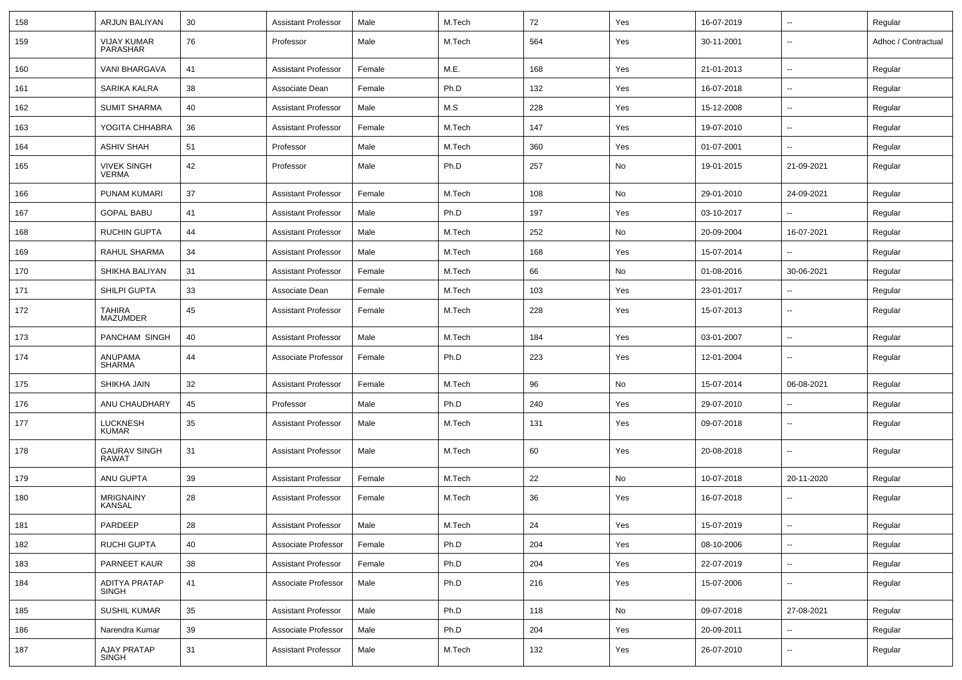| 158 | ARJUN BALIYAN                        | 30 | <b>Assistant Professor</b> | Male   | M.Tech | 72  | Yes | 16-07-2019 | $\overline{\phantom{a}}$ | Regular             |
|-----|--------------------------------------|----|----------------------------|--------|--------|-----|-----|------------|--------------------------|---------------------|
| 159 | <b>VIJAY KUMAR</b><br>PARASHAR       | 76 | Professor                  | Male   | M.Tech | 564 | Yes | 30-11-2001 | $\overline{\phantom{a}}$ | Adhoc / Contractual |
| 160 | <b>VANI BHARGAVA</b>                 | 41 | <b>Assistant Professor</b> | Female | M.E.   | 168 | Yes | 21-01-2013 | $\overline{\phantom{a}}$ | Regular             |
| 161 | SARIKA KALRA                         | 38 | Associate Dean             | Female | Ph.D   | 132 | Yes | 16-07-2018 | $\overline{\phantom{a}}$ | Regular             |
| 162 | <b>SUMIT SHARMA</b>                  | 40 | <b>Assistant Professor</b> | Male   | M.S    | 228 | Yes | 15-12-2008 | $\overline{\phantom{a}}$ | Regular             |
| 163 | YOGITA CHHABRA                       | 36 | <b>Assistant Professor</b> | Female | M.Tech | 147 | Yes | 19-07-2010 | $\overline{\phantom{a}}$ | Regular             |
| 164 | <b>ASHIV SHAH</b>                    | 51 | Professor                  | Male   | M.Tech | 360 | Yes | 01-07-2001 | $\mathbf{u}$             | Regular             |
| 165 | <b>VIVEK SINGH</b><br><b>VERMA</b>   | 42 | Professor                  | Male   | Ph.D   | 257 | No  | 19-01-2015 | 21-09-2021               | Regular             |
| 166 | PUNAM KUMARI                         | 37 | <b>Assistant Professor</b> | Female | M.Tech | 108 | No  | 29-01-2010 | 24-09-2021               | Regular             |
| 167 | <b>GOPAL BABU</b>                    | 41 | <b>Assistant Professor</b> | Male   | Ph.D   | 197 | Yes | 03-10-2017 |                          | Regular             |
| 168 | <b>RUCHIN GUPTA</b>                  | 44 | <b>Assistant Professor</b> | Male   | M.Tech | 252 | No  | 20-09-2004 | 16-07-2021               | Regular             |
| 169 | <b>RAHUL SHARMA</b>                  | 34 | <b>Assistant Professor</b> | Male   | M.Tech | 168 | Yes | 15-07-2014 |                          | Regular             |
| 170 | SHIKHA BALIYAN                       | 31 | <b>Assistant Professor</b> | Female | M.Tech | 66  | No  | 01-08-2016 | 30-06-2021               | Regular             |
| 171 | SHILPI GUPTA                         | 33 | Associate Dean             | Female | M.Tech | 103 | Yes | 23-01-2017 | Ξ.                       | Regular             |
| 172 | <b>TAHIRA</b><br><b>MAZUMDER</b>     | 45 | <b>Assistant Professor</b> | Female | M.Tech | 228 | Yes | 15-07-2013 | $\overline{\phantom{a}}$ | Regular             |
| 173 | PANCHAM SINGH                        | 40 | <b>Assistant Professor</b> | Male   | M.Tech | 184 | Yes | 03-01-2007 | $\overline{\phantom{a}}$ | Regular             |
| 174 | ANUPAMA<br><b>SHARMA</b>             | 44 | Associate Professor        | Female | Ph.D   | 223 | Yes | 12-01-2004 | $\overline{\phantom{a}}$ | Regular             |
| 175 | SHIKHA JAIN                          | 32 | <b>Assistant Professor</b> | Female | M.Tech | 96  | No  | 15-07-2014 | 06-08-2021               | Regular             |
| 176 | ANU CHAUDHARY                        | 45 | Professor                  | Male   | Ph.D   | 240 | Yes | 29-07-2010 |                          | Regular             |
| 177 | <b>LUCKNESH</b><br><b>KUMAR</b>      | 35 | <b>Assistant Professor</b> | Male   | M.Tech | 131 | Yes | 09-07-2018 | $\overline{\phantom{a}}$ | Regular             |
| 178 | <b>GAURAV SINGH</b><br><b>RAWAT</b>  | 31 | <b>Assistant Professor</b> | Male   | M.Tech | 60  | Yes | 20-08-2018 | $\overline{\phantom{a}}$ | Regular             |
| 179 | ANU GUPTA                            | 39 | <b>Assistant Professor</b> | Female | M.Tech | 22  | No  | 10-07-2018 | 20-11-2020               | Regular             |
| 180 | <b>MRIGNAINY</b><br><b>KANSAL</b>    | 28 | <b>Assistant Professor</b> | Female | M.Tech | 36  | Yes | 16-07-2018 |                          | Regular             |
| 181 | PARDEEP                              | 28 | <b>Assistant Professor</b> | Male   | M.Tech | 24  | Yes | 15-07-2019 |                          | Regular             |
| 182 | RUCHI GUPTA                          | 40 | Associate Professor        | Female | Ph.D   | 204 | Yes | 08-10-2006 | --                       | Regular             |
| 183 | PARNEET KAUR                         | 38 | <b>Assistant Professor</b> | Female | Ph.D   | 204 | Yes | 22-07-2019 | н.                       | Regular             |
| 184 | <b>ADITYA PRATAP</b><br><b>SINGH</b> | 41 | Associate Professor        | Male   | Ph.D   | 216 | Yes | 15-07-2006 | $\sim$                   | Regular             |
| 185 | SUSHIL KUMAR                         | 35 | Assistant Professor        | Male   | Ph.D   | 118 | No  | 09-07-2018 | 27-08-2021               | Regular             |
| 186 | Narendra Kumar                       | 39 | Associate Professor        | Male   | Ph.D   | 204 | Yes | 20-09-2011 | Щ,                       | Regular             |
| 187 | AJAY PRATAP<br><b>SINGH</b>          | 31 | <b>Assistant Professor</b> | Male   | M.Tech | 132 | Yes | 26-07-2010 | $\overline{\phantom{a}}$ | Regular             |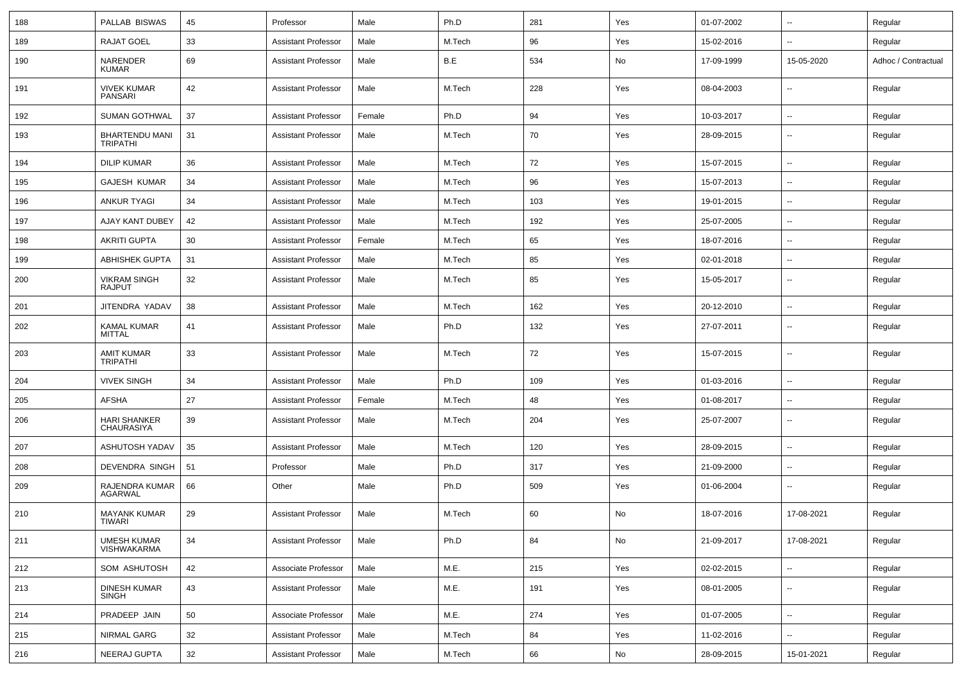| 188 | PALLAB BISWAS                            | 45 | Professor                  | Male   | Ph.D   | 281 | Yes | 01-07-2002 | $\overline{\phantom{a}}$ | Regular             |
|-----|------------------------------------------|----|----------------------------|--------|--------|-----|-----|------------|--------------------------|---------------------|
| 189 | <b>RAJAT GOEL</b>                        | 33 | <b>Assistant Professor</b> | Male   | M.Tech | 96  | Yes | 15-02-2016 | $\overline{\phantom{a}}$ | Regular             |
| 190 | NARENDER<br><b>KUMAR</b>                 | 69 | <b>Assistant Professor</b> | Male   | B.E    | 534 | No  | 17-09-1999 | 15-05-2020               | Adhoc / Contractual |
| 191 | <b>VIVEK KUMAR</b><br><b>PANSARI</b>     | 42 | <b>Assistant Professor</b> | Male   | M.Tech | 228 | Yes | 08-04-2003 | $\overline{\phantom{a}}$ | Regular             |
| 192 | SUMAN GOTHWAL                            | 37 | <b>Assistant Professor</b> | Female | Ph.D   | 94  | Yes | 10-03-2017 | $\sim$                   | Regular             |
| 193 | <b>BHARTENDU MANI</b><br><b>TRIPATHI</b> | 31 | <b>Assistant Professor</b> | Male   | M.Tech | 70  | Yes | 28-09-2015 | ۰.                       | Regular             |
| 194 | <b>DILIP KUMAR</b>                       | 36 | <b>Assistant Professor</b> | Male   | M.Tech | 72  | Yes | 15-07-2015 | --                       | Regular             |
| 195 | <b>GAJESH KUMAR</b>                      | 34 | <b>Assistant Professor</b> | Male   | M.Tech | 96  | Yes | 15-07-2013 | $\overline{\phantom{a}}$ | Regular             |
| 196 | <b>ANKUR TYAGI</b>                       | 34 | <b>Assistant Professor</b> | Male   | M.Tech | 103 | Yes | 19-01-2015 | $\sim$                   | Regular             |
| 197 | AJAY KANT DUBEY                          | 42 | <b>Assistant Professor</b> | Male   | M.Tech | 192 | Yes | 25-07-2005 | --                       | Regular             |
| 198 | <b>AKRITI GUPTA</b>                      | 30 | <b>Assistant Professor</b> | Female | M.Tech | 65  | Yes | 18-07-2016 | --                       | Regular             |
| 199 | <b>ABHISHEK GUPTA</b>                    | 31 | <b>Assistant Professor</b> | Male   | M.Tech | 85  | Yes | 02-01-2018 | $\overline{\phantom{a}}$ | Regular             |
| 200 | <b>VIKRAM SINGH</b><br><b>RAJPUT</b>     | 32 | <b>Assistant Professor</b> | Male   | M.Tech | 85  | Yes | 15-05-2017 | ۰.                       | Regular             |
| 201 | JITENDRA YADAV                           | 38 | <b>Assistant Professor</b> | Male   | M.Tech | 162 | Yes | 20-12-2010 | --                       | Regular             |
| 202 | <b>KAMAL KUMAR</b><br><b>MITTAL</b>      | 41 | <b>Assistant Professor</b> | Male   | Ph.D   | 132 | Yes | 27-07-2011 | $\overline{\phantom{a}}$ | Regular             |
| 203 | <b>AMIT KUMAR</b><br><b>TRIPATHI</b>     | 33 | <b>Assistant Professor</b> | Male   | M.Tech | 72  | Yes | 15-07-2015 | ۰.                       | Regular             |
| 204 | <b>VIVEK SINGH</b>                       | 34 | <b>Assistant Professor</b> | Male   | Ph.D   | 109 | Yes | 01-03-2016 | $\overline{a}$           | Regular             |
| 205 | <b>AFSHA</b>                             | 27 | <b>Assistant Professor</b> | Female | M.Tech | 48  | Yes | 01-08-2017 | $\sim$                   | Regular             |
| 206 | <b>HARI SHANKER</b><br><b>CHAURASIYA</b> | 39 | <b>Assistant Professor</b> | Male   | M.Tech | 204 | Yes | 25-07-2007 | ۰.                       | Regular             |
| 207 | ASHUTOSH YADAV                           | 35 | <b>Assistant Professor</b> | Male   | M.Tech | 120 | Yes | 28-09-2015 | ۰.                       | Regular             |
| 208 | DEVENDRA SINGH                           | 51 | Professor                  | Male   | Ph.D   | 317 | Yes | 21-09-2000 | --                       | Regular             |
| 209 | RAJENDRA KUMAR<br><b>AGARWAL</b>         | 66 | Other                      | Male   | Ph.D   | 509 | Yes | 01-06-2004 | $\overline{\phantom{a}}$ | Regular             |
| 210 | <b>MAYANK KUMAR</b><br>TIWARI            | 29 | <b>Assistant Professor</b> | Male   | M.Tech | 60  | No  | 18-07-2016 | 17-08-2021               | Regular             |
| 211 | UMESH KUMAR<br>VISHWAKARMA               | 34 | <b>Assistant Professor</b> | Male   | Ph.D   | 84  | No  | 21-09-2017 | 17-08-2021               | Regular             |
| 212 | SOM ASHUTOSH                             | 42 | Associate Professor        | Male   | M.E.   | 215 | Yes | 02-02-2015 | u.                       | Regular             |
| 213 | <b>DINESH KUMAR</b><br><b>SINGH</b>      | 43 | <b>Assistant Professor</b> | Male   | M.E.   | 191 | Yes | 08-01-2005 | $\overline{\phantom{a}}$ | Regular             |
| 214 | PRADEEP JAIN                             | 50 | Associate Professor        | Male   | M.E.   | 274 | Yes | 01-07-2005 | Ξ.                       | Regular             |
| 215 | NIRMAL GARG                              | 32 | <b>Assistant Professor</b> | Male   | M.Tech | 84  | Yes | 11-02-2016 | u.                       | Regular             |
| 216 | NEERAJ GUPTA                             | 32 | <b>Assistant Professor</b> | Male   | M.Tech | 66  | No  | 28-09-2015 | 15-01-2021               | Regular             |